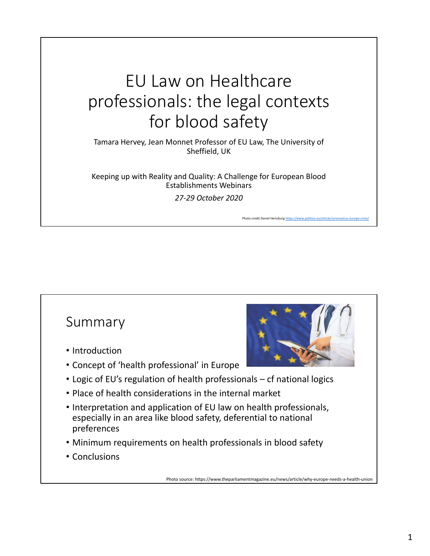# EU Law on Healthcare professionals: the legal contexts for blood safety

Tamara Hervey, Jean Monnet Professor of EU Law, The University of Sheffield, UK

Keeping up with Reality and Quality: A Challenge for European Blood Establishments Webinars *27-29 October 2020*

Photo credit Daniel Hertzburg ht

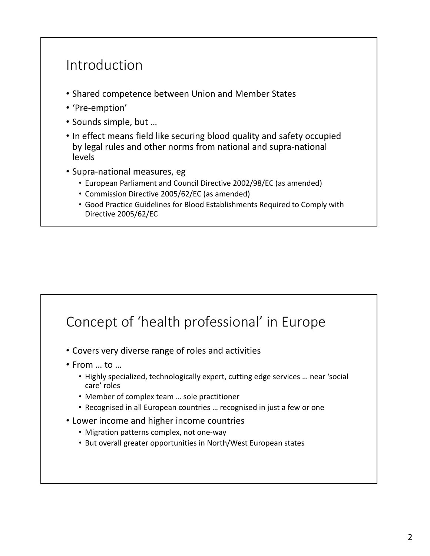#### Introduction

- Shared competence between Union and Member States
- 'Pre-emption'
- Sounds simple, but …
- In effect means field like securing blood quality and safety occupied by legal rules and other norms from national and supra-national levels
- Supra-national measures, eg
	- European Parliament and Council Directive 2002/98/EC (as amended)
	- Commission Directive 2005/62/EC (as amended)
	- Good Practice Guidelines for Blood Establishments Required to Comply with Directive 2005/62/EC

## Concept of 'health professional' in Europe

- Covers very diverse range of roles and activities
- From … to …
	- Highly specialized, technologically expert, cutting edge services … near 'social care' roles
	- Member of complex team … sole practitioner
	- Recognised in all European countries … recognised in just a few or one
- Lower income and higher income countries
	- Migration patterns complex, not one-way
	- But overall greater opportunities in North/West European states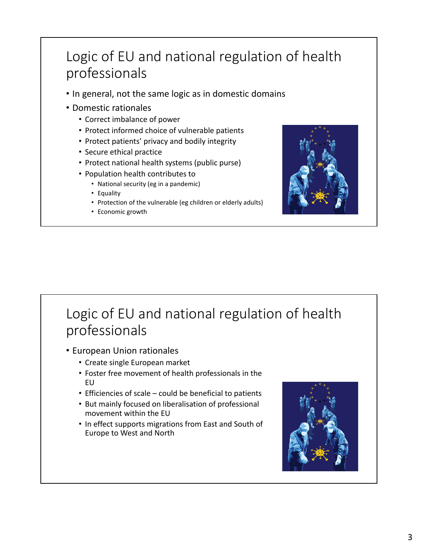## Logic of EU and national regulation of health professionals

- In general, not the same logic as in domestic domains
- Domestic rationales
	- Correct imbalance of power
	- Protect informed choice of vulnerable patients
	- Protect patients' privacy and bodily integrity
	- Secure ethical practice
	- Protect national health systems (public purse)
	- Population health contributes to
		- National security (eg in a pandemic)
		- Equality
		- Protection of the vulnerable (eg children or elderly adults)
		- Economic growth



# Logic of EU and national regulation of health professionals

- European Union rationales
	- Create single European market
	- Foster free movement of health professionals in the EU
	- Efficiencies of scale could be beneficial to patients
	- But mainly focused on liberalisation of professional movement within the EU
	- In effect supports migrations from East and South of Europe to West and North

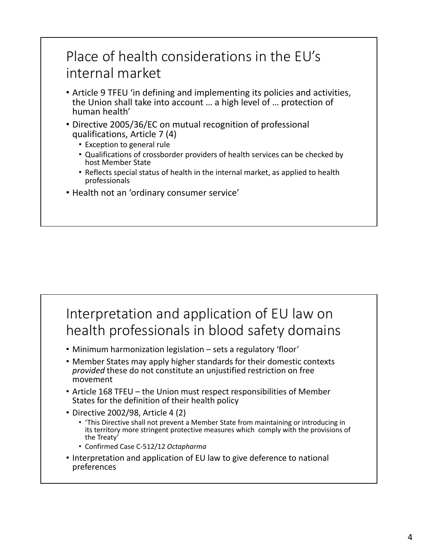## Place of health considerations in the EU's internal market

- Article 9 TFEU 'in defining and implementing its policies and activities, the Union shall take into account … a high level of … protection of human health'
- Directive 2005/36/EC on mutual recognition of professional qualifications, Article 7 (4)
	- Exception to general rule
	- Qualifications of crossborder providers of health services can be checked by host Member State
	- Reflects special status of health in the internal market, as applied to health professionals
- Health not an 'ordinary consumer service'

## Interpretation and application of EU law on health professionals in blood safety domains

- Minimum harmonization legislation sets a regulatory 'floor'
- Member States may apply higher standards for their domestic contexts *provided* these do not constitute an unjustified restriction on free movement
- Article 168 TFEU the Union must respect responsibilities of Member States for the definition of their health policy
- Directive 2002/98, Article 4 (2)
	- 'This Directive shall not prevent a Member State from maintaining or introducing in its territory more stringent protective measures which comply with the provisions of the Treaty'
	- Confirmed Case C-512/12 *Octapharma*
- Interpretation and application of EU law to give deference to national preferences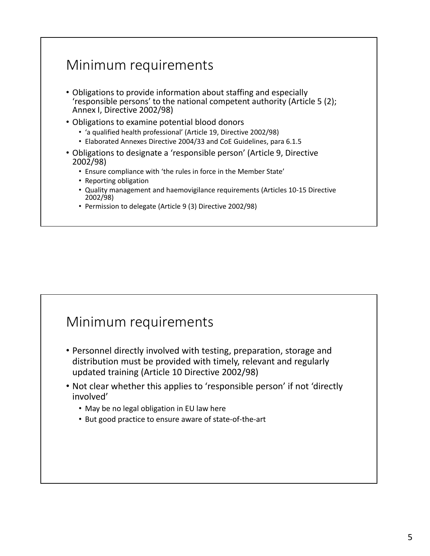## Minimum requirements

- Obligations to provide information about staffing and especially 'responsible persons' to the national competent authority (Article 5 (2); Annex I, Directive 2002/98)
- Obligations to examine potential blood donors
	- 'a qualified health professional' (Article 19, Directive 2002/98)
	- Elaborated Annexes Directive 2004/33 and CoE Guidelines, para 6.1.5
- Obligations to designate a 'responsible person' (Article 9, Directive 2002/98)
	- Ensure compliance with 'the rules in force in the Member State'
	- Reporting obligation
	- Quality management and haemovigilance requirements (Articles 10-15 Directive 2002/98)
	- Permission to delegate (Article 9 (3) Directive 2002/98)

#### Minimum requirements

- Personnel directly involved with testing, preparation, storage and distribution must be provided with timely, relevant and regularly updated training (Article 10 Directive 2002/98)
- Not clear whether this applies to 'responsible person' if not 'directly involved'
	- May be no legal obligation in EU law here
	- But good practice to ensure aware of state-of-the-art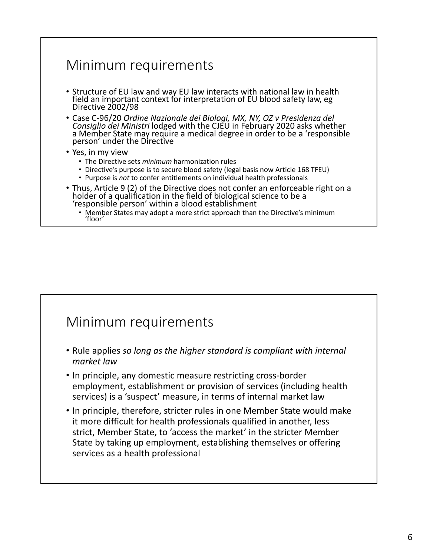#### Minimum requirements

- Structure of EU law and way EU law interacts with national law in health field an important context for interpretation of EU blood safety law, eg<br>Directive 2002/98
- Case C-96/20 Ordine Nazionale dei Biologi, MX, NY, OZ v Presidenza del<br>Consiglio dei Ministri lodged with the CJEU in February 2020 asks whether<br>a Member State may require a medical degree in order to be a 'responsible<br>p
- Yes, in my view
	- The Directive sets *minimum* harmonization rules
	- Directive's purpose is to secure blood safety (legal basis now Article 168 TFEU)
	- Purpose is *not* to confer entitlements on individual health professionals
- Thus, Article 9 (2) of the Directive does not confer an enforceable right on a holder of a qualification in the field of biological science to be a 'responsible person' within a blood establishment
	- Member States may adopt a more strict approach than the Directive's minimum 'floor'

#### Minimum requirements

- Rule applies *so long as the higher standard is compliant with internal market law*
- In principle, any domestic measure restricting cross-border employment, establishment or provision of services (including health services) is a 'suspect' measure, in terms of internal market law
- In principle, therefore, stricter rules in one Member State would make it more difficult for health professionals qualified in another, less strict, Member State, to 'access the market' in the stricter Member State by taking up employment, establishing themselves or offering services as a health professional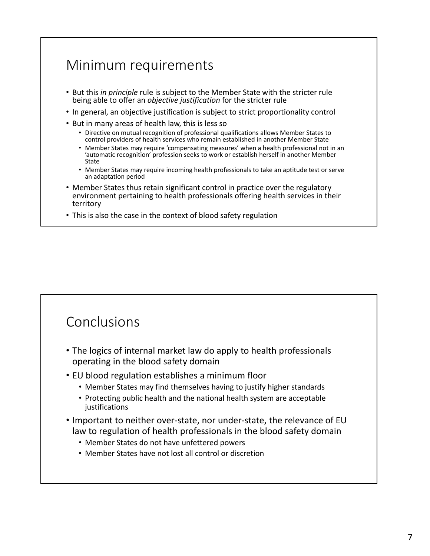## Minimum requirements

- But this *in principle* rule is subject to the Member State with the stricter rule being able to offer an *objective justification* for the stricter rule
- In general, an objective justification is subject to strict proportionality control
- But in many areas of health law, this is less so
	- Directive on mutual recognition of professional qualifications allows Member States to control providers of health services who remain established in another Member State
	- Member States may require 'compensating measures' when a health professional not in an 'automatic recognition' profession seeks to work or establish herself in another Member State
	- Member States may require incoming health professionals to take an aptitude test or serve an adaptation period
- Member States thus retain significant control in practice over the regulatory environment pertaining to health professionals offering health services in their territory
- This is also the case in the context of blood safety regulation

#### Conclusions

- The logics of internal market law do apply to health professionals operating in the blood safety domain
- EU blood regulation establishes a minimum floor
	- Member States may find themselves having to justify higher standards
	- Protecting public health and the national health system are acceptable justifications
- Important to neither over-state, nor under-state, the relevance of EU law to regulation of health professionals in the blood safety domain
	- Member States do not have unfettered powers
	- Member States have not lost all control or discretion